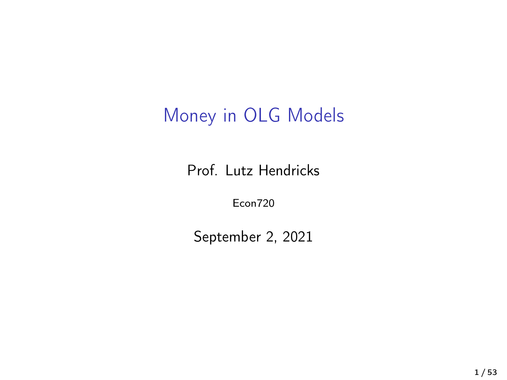### Money in OLG Models

Prof. Lutz Hendricks

Econ720

September 2, 2021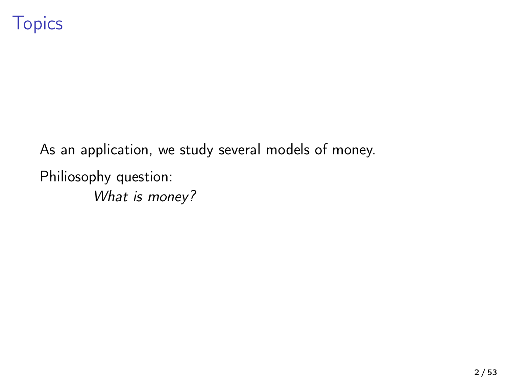As an application, we study several models of money. Philiosophy question: What is money?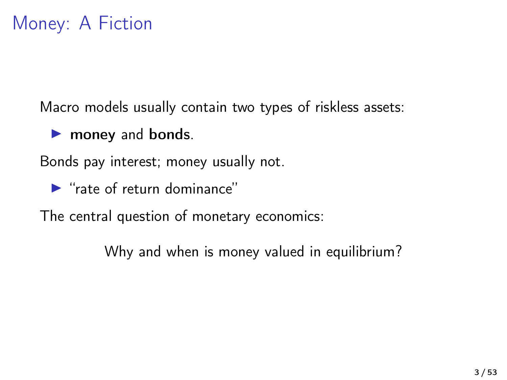Macro models usually contain two types of riskless assets:

**Imoney and bonds.** 

Bonds pay interest; money usually not.

 $\blacktriangleright$  "rate of return dominance"

The central question of monetary economics:

Why and when is money valued in equilibrium?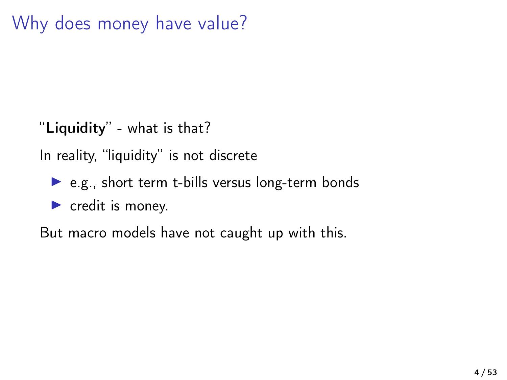### Why does money have value?

"Liquidity" - what is that?

In reality, "liquidity" is not discrete

 $\triangleright$  e.g., short term t-bills versus long-term bonds

 $\blacktriangleright$  credit is money.

But macro models have not caught up with this.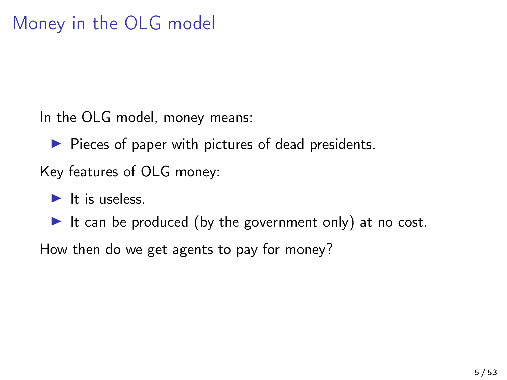### Money in the OLG model

In the OLG model, money means:

 $\blacktriangleright$  Pieces of paper with pictures of dead presidents.

Key features of OLG money:

 $\blacktriangleright$  It is useless.

It can be produced (by the government only) at no cost.

How then do we get agents to pay for money?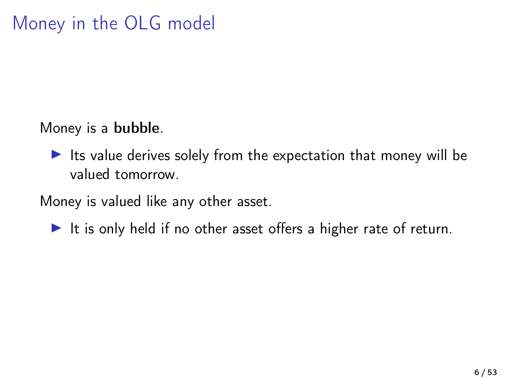Money is a bubble.

 $\blacktriangleright$  Its value derives solely from the expectation that money will be valued tomorrow.

Money is valued like any other asset.

It is only held if no other asset offers a higher rate of return.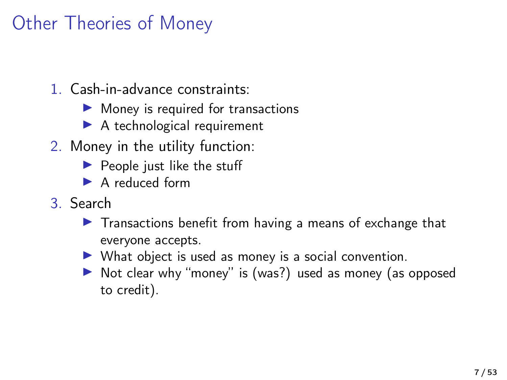### Other Theories of Money

- 1. Cash-in-advance constraints:
	- $\blacktriangleright$  Money is required for transactions
	- $\blacktriangleright$  A technological requirement
- 2. Money in the utility function:
	- $\blacktriangleright$  People just like the stuff
	- $\blacktriangleright$  A reduced form
- 3. Search
	- $\blacktriangleright$  Transactions benefit from having a means of exchange that everyone accepts.
	- $\triangleright$  What object is used as money is a social convention.
	- ▶ Not clear why "money" is (was?) used as money (as opposed to credit).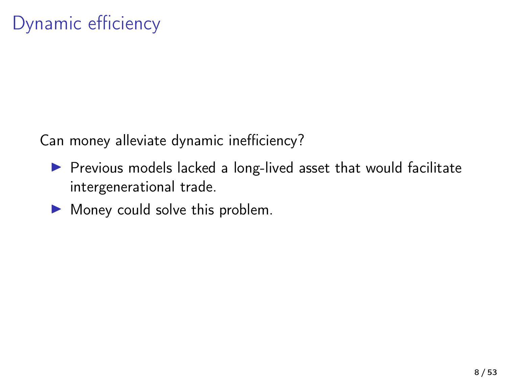Can money alleviate dynamic inefficiency?

- $\blacktriangleright$  Previous models lacked a long-lived asset that would facilitate intergenerational trade.
- $\blacktriangleright$  Money could solve this problem.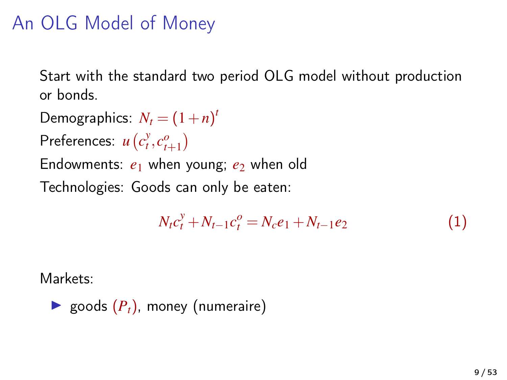### An OLG Model of Money

Start with the standard two period OLG model without production or bonds.

Demographics:  $N_t = (1+n)^t$ 

Preferences:  $u(c_t^y, c_{t+1}^o)$ 

Endowments:  $e_1$  when young;  $e_2$  when old

Technologies: Goods can only be eaten:

$$
N_t c_t^y + N_{t-1} c_t^o = N_c e_1 + N_{t-1} e_2 \tag{1}
$$

Markets:

▶ goods 
$$
(P_t)
$$
, money (numeraire)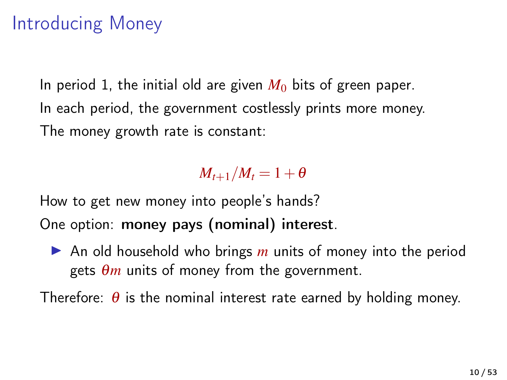### Introducing Money

In period 1, the initial old are given  $M_0$  bits of green paper. In each period, the government costlessly prints more money. The money growth rate is constant:

#### $M_{t+1}/M_t = 1+\theta$

How to get new money into people's hands? One option: money pays (nominal) interest.

▶ An old household who brings *m* units of money into the period gets  $\theta$ *m* units of money from the government.

Therefore:  $\theta$  is the nominal interest rate earned by holding money.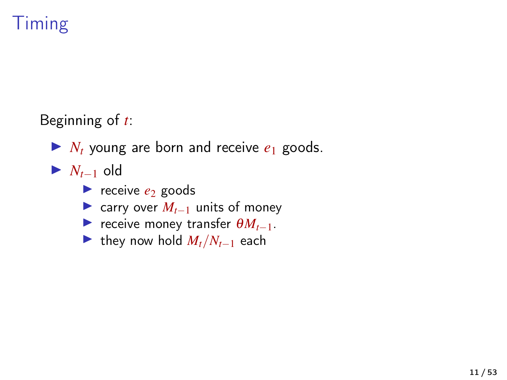

Beginning of *t*:

- $\blacktriangleright$  *N<sub>t</sub>* young are born and receive  $e_1$  goods.
- $\blacktriangleright$  *N*<sub>*t*−1</sub> old
	- receive  $e_2$  goods
	- $\triangleright$  carry over  $M_{t-1}$  units of money
	- **►** receive money transfer  $\theta M_{t-1}$ .
	- $\triangleright$  they now hold  $M_t/N_{t-1}$  each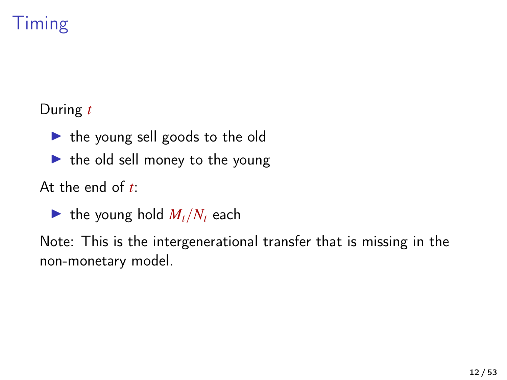## Timing

During *t*

- $\blacktriangleright$  the young sell goods to the old
- $\blacktriangleright$  the old sell money to the young

At the end of *t*:

 $\blacktriangleright$  the young hold  $M_t/N_t$  each

Note: This is the intergenerational transfer that is missing in the non-monetary model.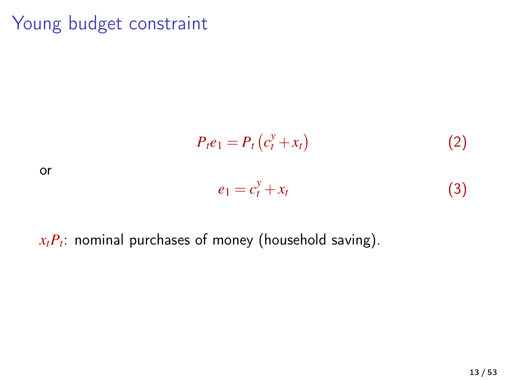### Young budget constraint

$$
P_t e_1 = P_t \left( c_t^y + x_t \right) \tag{2}
$$

or

$$
e_1 = c_t^y + x_t \tag{3}
$$

#### *xtP<sup>t</sup>* : nominal purchases of money (household saving).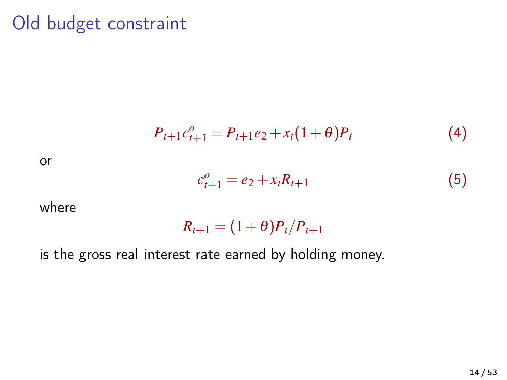#### Old budget constraint

$$
P_{t+1}c_{t+1}^o = P_{t+1}e_2 + x_t(1+\theta)P_t
$$
\n(4)

or

$$
c_{t+1}^o = e_2 + x_t R_{t+1} \tag{5}
$$

where

 $R_{t+1} = (1+\theta)P_t/P_{t+1}$ 

is the gross real interest rate earned by holding money.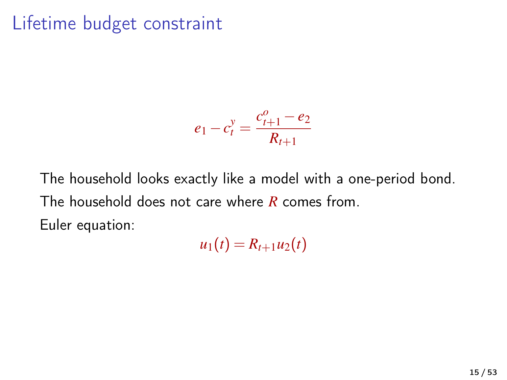### Lifetime budget constraint

$$
e_1 - c_t^y = \frac{c_{t+1}^o - e_2}{R_{t+1}}
$$

The household looks exactly like a model with a one-period bond. The household does not care where *R* comes from. Euler equation:

 $u_1(t) = R_{t+1}u_2(t)$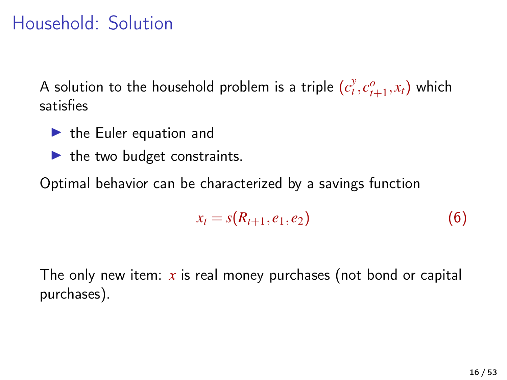### Household: Solution

A solution to the household problem is a triple  $(c_t^y, c_{t+1}^o, x_t)$  which satisfies

- $\blacktriangleright$  the Euler equation and
- $\blacktriangleright$  the two budget constraints.

Optimal behavior can be characterized by a savings function

$$
x_t = s(R_{t+1}, e_1, e_2)
$$
 (6)

The only new item: *x* is real money purchases (not bond or capital purchases).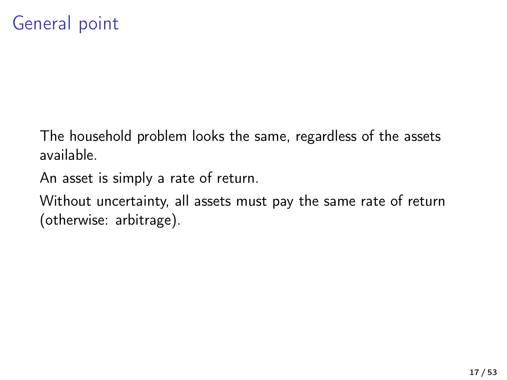### General point

The household problem looks the same, regardless of the assets available.

An asset is simply a rate of return.

Without uncertainty, all assets must pay the same rate of return (otherwise: arbitrage).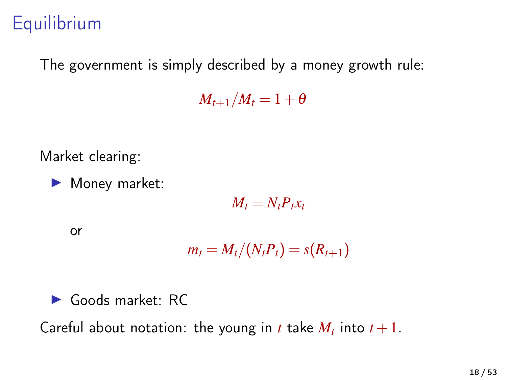### **Equilibrium**

The government is simply described by a money growth rule:

 $M_{t+1}/M_t = 1 + \theta$ 

Market clearing:

 $\blacktriangleright$  Money market:

 $M_t = N_t P_t x_t$ 

or

$$
m_t = M_t/(N_t P_t) = s(R_{t+1})
$$

 $\blacktriangleright$  Goods market: RC

Careful about notation: the young in *t* take  $M_t$  into  $t+1$ .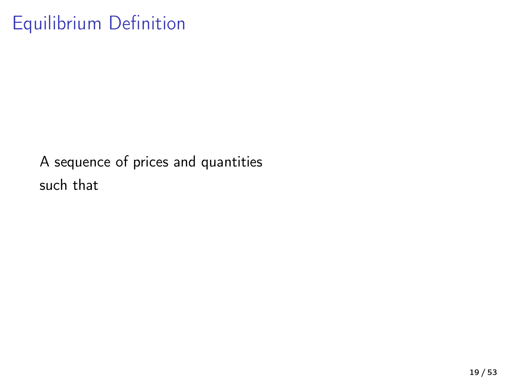### Equilibrium Definition

A sequence of prices and quantities such that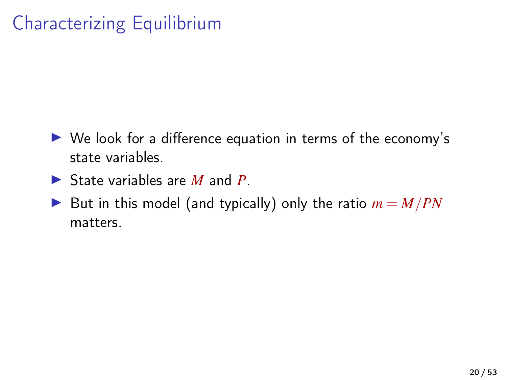## Characterizing Equilibrium

- $\triangleright$  We look for a difference equation in terms of the economy's state variables.
- ▶ State variables are *M* and *P*.
- But in this model (and typically) only the ratio  $m = M/PN$ matters.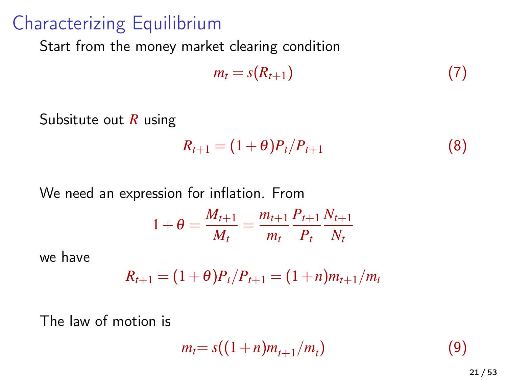#### Characterizing Equilibrium

Start from the money market clearing condition

$$
m_t = s(R_{t+1}) \tag{7}
$$

Subsitute out *R* using

$$
R_{t+1} = (1+\theta)P_t/P_{t+1}
$$
 (8)

We need an expression for inflation. From

$$
1 + \theta = \frac{M_{t+1}}{M_t} = \frac{m_{t+1}}{m_t} \frac{P_{t+1}}{P_t} \frac{N_{t+1}}{N_t}
$$

we have

$$
R_{t+1} = (1+\theta)P_t/P_{t+1} = (1+n)m_{t+1}/m_t
$$

The law of motion is

$$
m_t = s((1+n)m_{t+1}/m_t)
$$
 (9)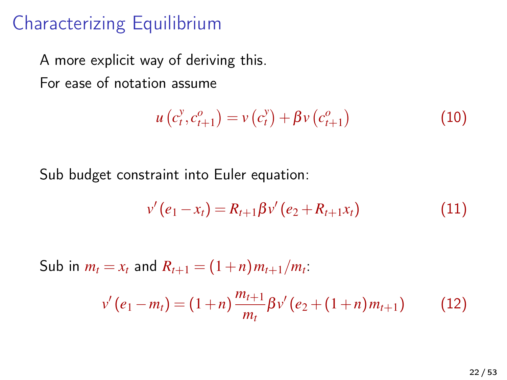### Characterizing Equilibrium

A more explicit way of deriving this. For ease of notation assume

$$
u(c_t^y, c_{t+1}^o) = v(c_t^y) + \beta v(c_{t+1}^o)
$$
 (10)

Sub budget constraint into Euler equation:

$$
v'(e_1 - x_t) = R_{t+1} \beta v'(e_2 + R_{t+1} x_t)
$$
\n(11)

Sub in  $m_t = x_t$  and  $R_{t+1} = (1+n) m_{t+1}/m_t$ .  $v'(e_1 - m_t) = (1+n) \frac{m_{t+1}}{m_t}$  $\frac{u_{t+1}}{m_t} \beta v' (e_2 + (1+n)m_{t+1})$  (12)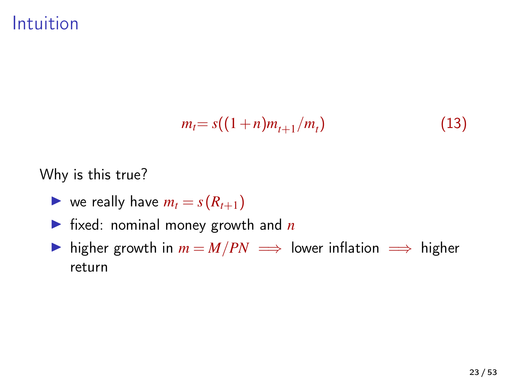Intuition

$$
m_t = s((1+n)m_{t+1}/m_t)
$$
 (13)

Why is this true?

- $\triangleright$  we really have  $m_t = s(R_{t+1})$
- $\triangleright$  fixed: nominal money growth and *n*
- **►** higher growth in  $m = M/PN$   $\implies$  lower inflation  $\implies$  higher return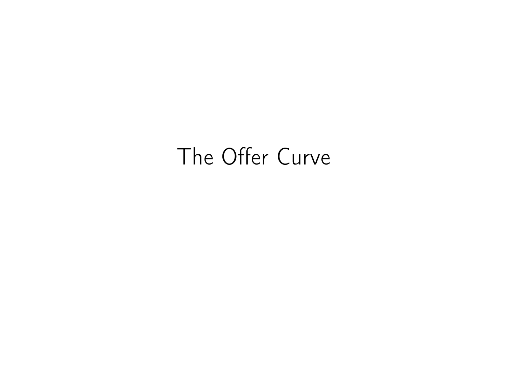# The Offer Curve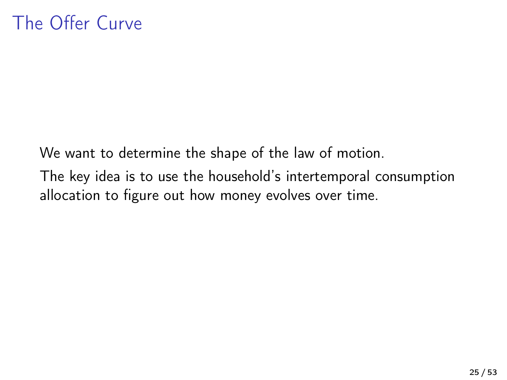We want to determine the shape of the law of motion. The key idea is to use the household's intertemporal consumption allocation to figure out how money evolves over time.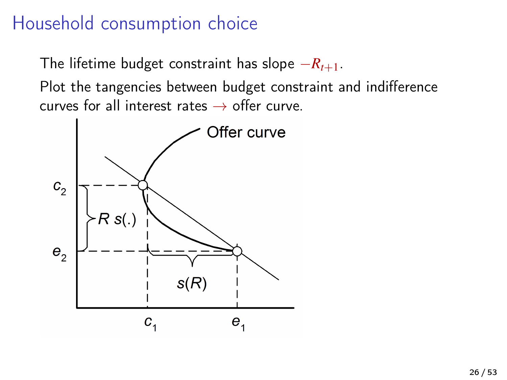### Household consumption choice

The lifetime budget constraint has slope −*Rt*+1.

Plot the tangencies between budget constraint and indifference curves for all interest rates  $\rightarrow$  offer curve.

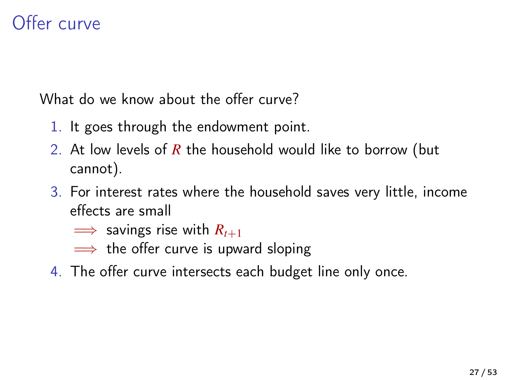### Offer curve

What do we know about the offer curve?

- 1. It goes through the endowment point.
- 2. At low levels of *R* the household would like to borrow (but cannot).
- 3. For interest rates where the household saves very little, income effects are small
	- $\implies$  savings rise with  $R_{t+1}$
	- $\implies$  the offer curve is upward sloping
- 4. The offer curve intersects each budget line only once.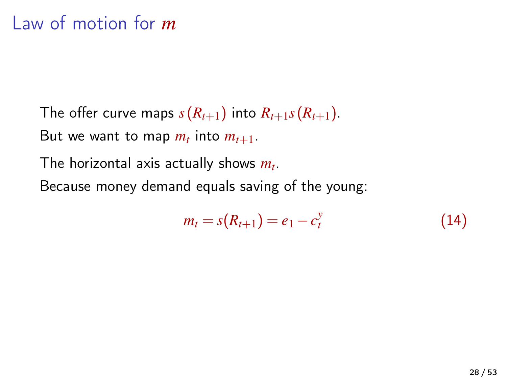#### Law of motion for *m*

The offer curve maps  $s(R_{t+1})$  into  $R_{t+1} s(R_{t+1})$ . But we want to map  $m_t$  into  $m_{t+1}$ .

The horizontal axis actually shows *m<sup>t</sup>* .

Because money demand equals saving of the young:

$$
m_t = s(R_{t+1}) = e_1 - c_t^y \tag{14}
$$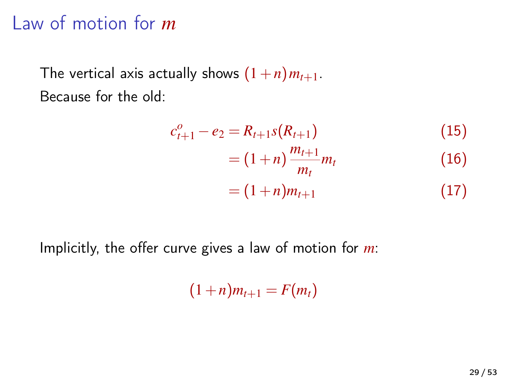#### Law of motion for *m*

The vertical axis actually shows  $(1+n)m_{t+1}$ . Because for the old:

$$
c_{t+1}^o - e_2 = R_{t+1} s(R_{t+1})
$$
\n(15)

$$
= (1+n)\frac{m_{t+1}}{m_t}m_t
$$
 (16)

$$
=(1+n)m_{t+1}\tag{17}
$$

Implicitly, the offer curve gives a law of motion for *m*:

 $(1+n)m_{t+1} = F(m_t)$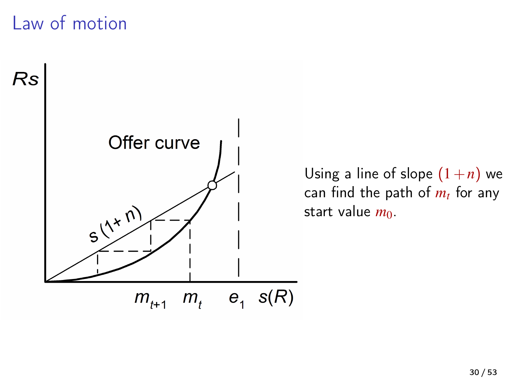### Law of motion



Using a line of slope  $(1+n)$  we can find the path of *m<sup>t</sup>* for any start value  $m_0$ .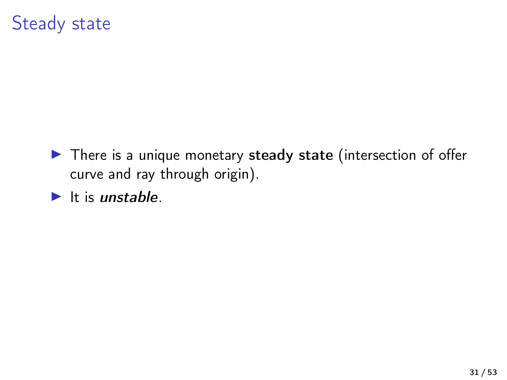#### Steady state

- $\blacktriangleright$  There is a unique monetary steady state (intersection of offer curve and ray through origin).
- $\blacktriangleright$  It is unstable.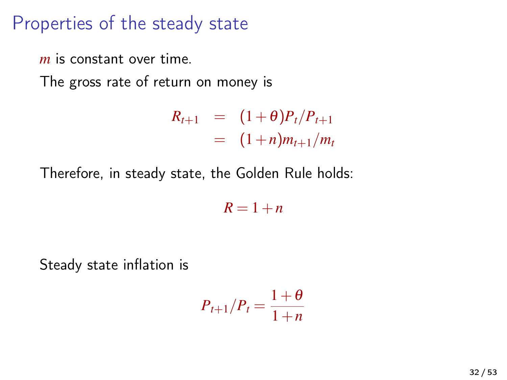#### Properties of the steady state

*m* is constant over time.

The gross rate of return on money is

$$
R_{t+1} = (1+\theta)P_t/P_{t+1}
$$
  
=  $(1+n)m_{t+1}/m_t$ 

Therefore, in steady state, the Golden Rule holds:

 $R = 1 + n$ 

Steady state inflation is

$$
P_{t+1}/P_t = \frac{1+\theta}{1+n}
$$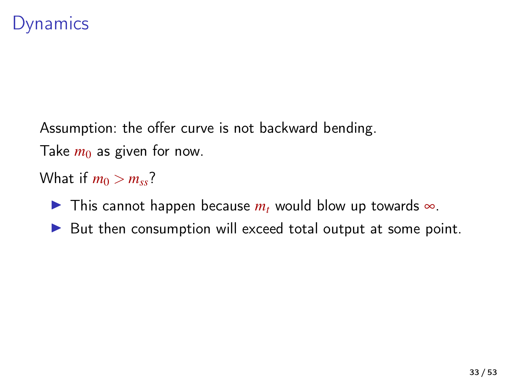#### **Dynamics**

Assumption: the offer curve is not backward bending. Take  $m_0$  as given for now.

What if  $m_0 > m_{ss}$ ?

**IF** This cannot happen because  $m_t$  would blow up towards ∞.

 $\triangleright$  But then consumption will exceed total output at some point.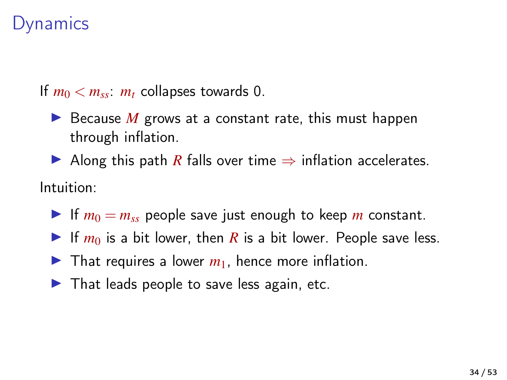#### **Dynamics**

If  $m_0 < m_{ss}$ :  $m_t$  collapses towards 0.

- $\blacktriangleright$  Because *M* grows at a constant rate, this must happen through inflation.
- Along this path *R* falls over time  $\Rightarrow$  inflation accelerates.

#### Intuition:

- If  $m_0 = m_{ss}$  people save just enough to keep *m* constant.
- If  $m_0$  is a bit lower, then *R* is a bit lower. People save less.
- $\blacktriangleright$  That requires a lower  $m_1$ , hence more inflation.
- $\blacktriangleright$  That leads people to save less again, etc.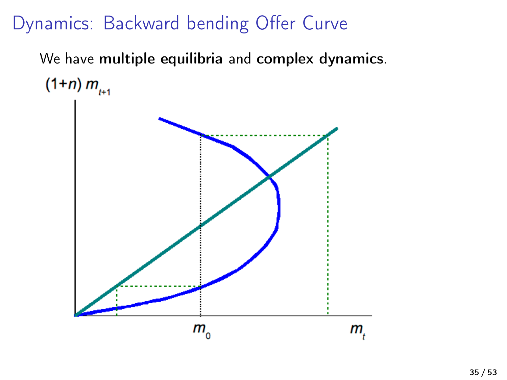### Dynamics: Backward bending Offer Curve

We have multiple equilibria and complex dynamics.  $(1+n) m_{n+1}$ 

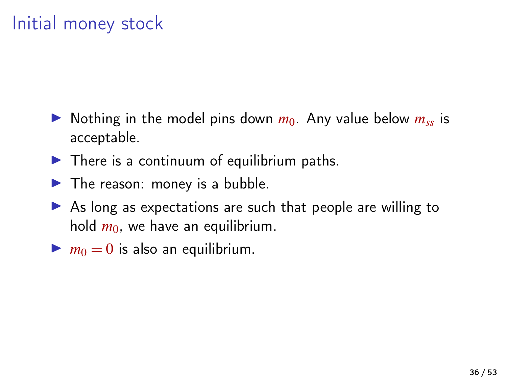### Initial money stock

- $\triangleright$  Nothing in the model pins down  $m_0$ . Any value below  $m_{ss}$  is acceptable.
- $\blacktriangleright$  There is a continuum of equilibrium paths.
- $\blacktriangleright$  The reason: money is a bubble.
- $\triangleright$  As long as expectations are such that people are willing to hold  $m_0$ , we have an equilibrium.
- $\blacktriangleright$   $m_0 = 0$  is also an equilibrium.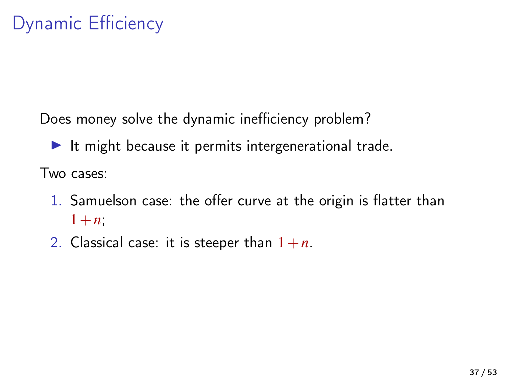Does money solve the dynamic inefficiency problem?

 $\blacktriangleright$  It might because it permits intergenerational trade.

Two cases:

- 1. Samuelson case: the offer curve at the origin is flatter than  $1+n$ ;
- 2. Classical case: it is steeper than  $1+n$ .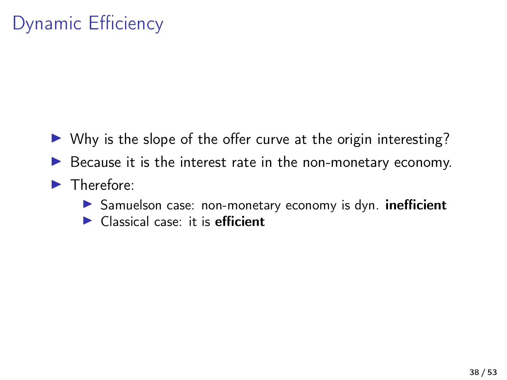## Dynamic Efficiency

- $\triangleright$  Why is the slope of the offer curve at the origin interesting?
- $\triangleright$  Because it is the interest rate in the non-monetary economy.
- $\blacktriangleright$  Therefore:
	- **In Samuelson case: non-monetary economy is dyn. inefficient**
	- $\blacktriangleright$  Classical case: it is efficient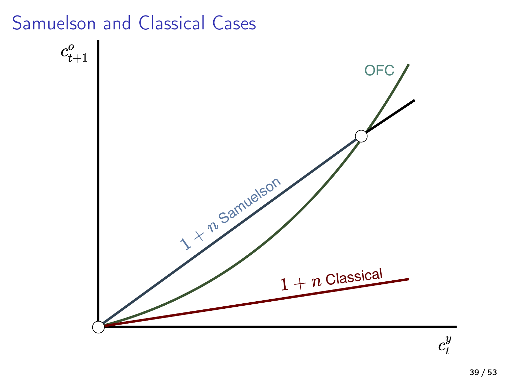#### Samuelson and Classical Cases



 $c_t^y$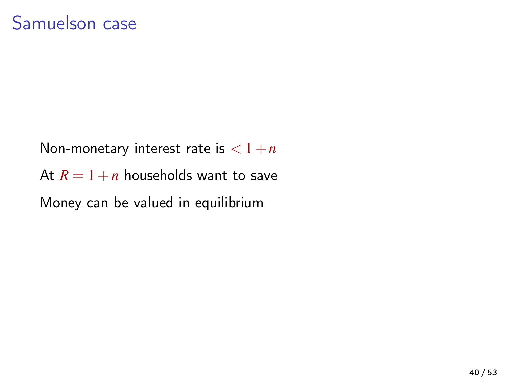Non-monetary interest rate is  $< 1+n$ At  $R = 1 + n$  households want to save Money can be valued in equilibrium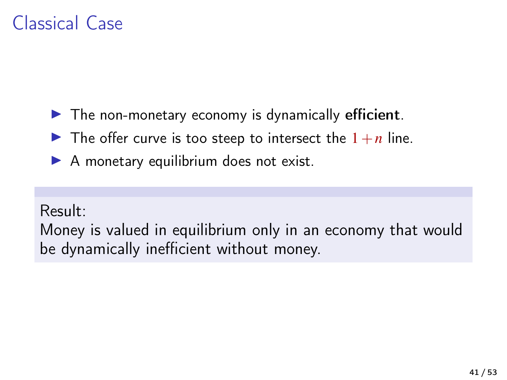### Classical Case

- $\blacktriangleright$  The non-monetary economy is dynamically efficient.
- $\blacktriangleright$  The offer curve is too steep to intersect the  $1+n$  line.
- $\blacktriangleright$  A monetary equilibrium does not exist.

#### Result:

Money is valued in equilibrium only in an economy that would be dynamically inefficient without money.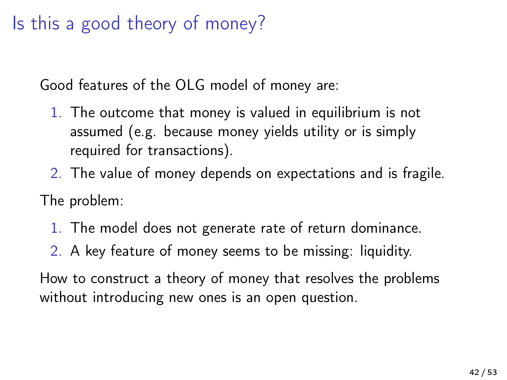### Is this a good theory of money?

Good features of the OLG model of money are:

- 1. The outcome that money is valued in equilibrium is not assumed (e.g. because money yields utility or is simply required for transactions).
- 2. The value of money depends on expectations and is fragile.

The problem:

- 1. The model does not generate rate of return dominance.
- 2. A key feature of money seems to be missing: liquidity.

How to construct a theory of money that resolves the problems without introducing new ones is an open question.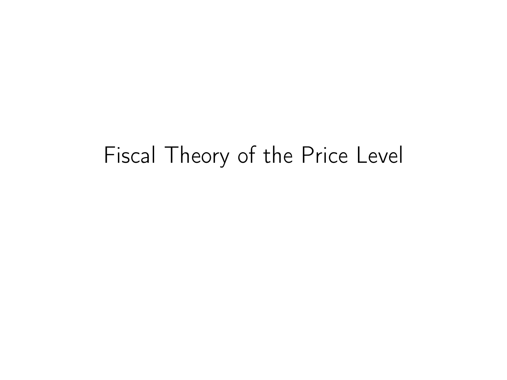# Fiscal Theory of the Price Level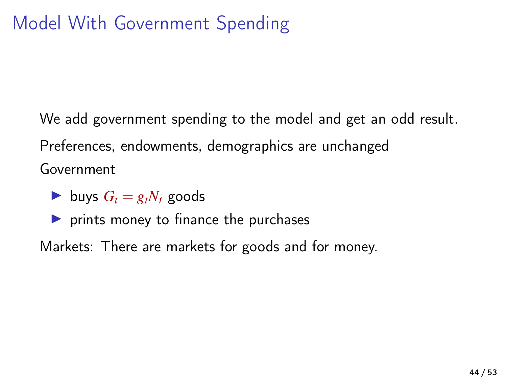We add government spending to the model and get an odd result. Preferences, endowments, demographics are unchanged Government

- buys  $G_t = g_t N_t$  goods
- $\triangleright$  prints money to finance the purchases

Markets: There are markets for goods and for money.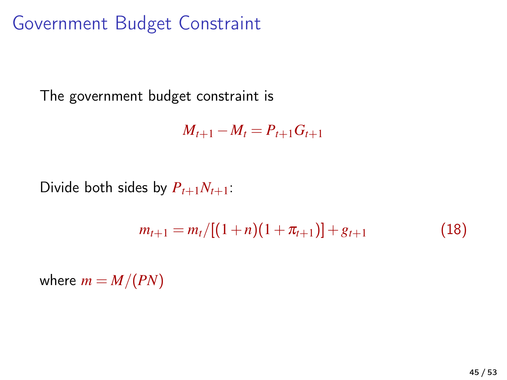Government Budget Constraint

The government budget constraint is

<span id="page-44-0"></span> $M_{t+1} - M_t = P_{t+1} G_{t+1}$ 

Divide both sides by  $P_{t+1}N_{t+1}$ :

$$
m_{t+1} = m_t/[(1+n)(1+\pi_{t+1})] + g_{t+1}
$$
\n(18)

where  $m = M/(PN)$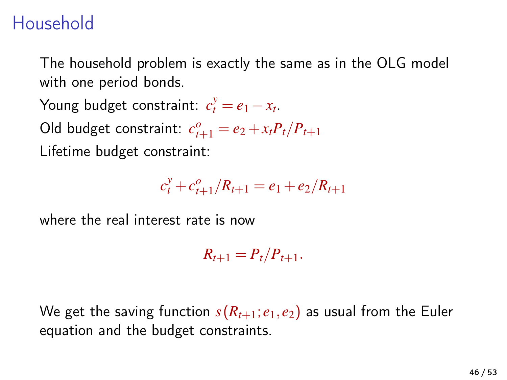### Household

The household problem is exactly the same as in the OLG model with one period bonds.

Young budget constraint:  $c_t^y = e_1 - x_t$ .

Old budget constraint:  $c_{t+1}^o = e_2 + x_t P_t / P_{t+1}$ 

Lifetime budget constraint:

$$
c_t^y + c_{t+1}^o/R_{t+1} = e_1 + e_2/R_{t+1}
$$

where the real interest rate is now

 $R_{t+1} = P_t/P_{t+1}.$ 

We get the saving function  $s(R_{t+1}; e_1, e_2)$  as usual from the Euler equation and the budget constraints.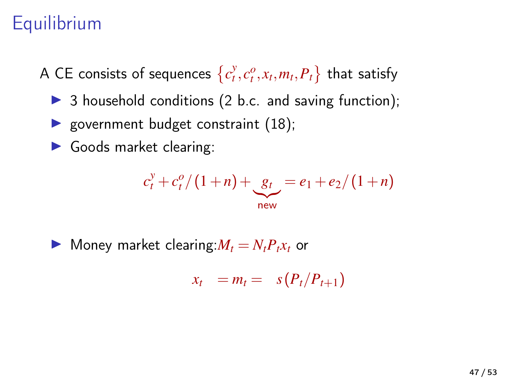### **Equilibrium**

A CE consists of sequences  $\left\{c^y_t, c^o_t, x_t, m_t, P_t\right\}$  that satisfy

- $\triangleright$  3 household conditions (2 b.c. and saving function);
- povernment budget constraint  $(18)$ ;
- $\blacktriangleright$  Goods market clearing:

$$
c_t^y + c_t^o / (1+n) + \underbrace{g_t}_{\text{new}} = e_1 + e_2 / (1+n)
$$

 $\blacktriangleright$  Money market clearing: $M_t = N_t P_t x_t$  or

$$
x_t = m_t = s(P_t/P_{t+1})
$$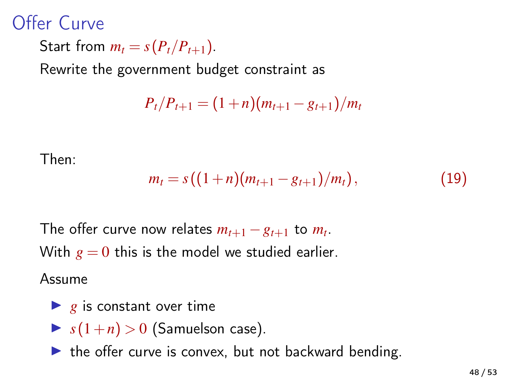### Offer Curve

Start from  $m_t = s(P_t/P_{t+1})$ .

Rewrite the government budget constraint as

 $P_t/P_{t+1} = (1+n)(m_{t+1} - g_{t+1})/m_t$ 

Then:

$$
m_t = s((1+n)(m_{t+1} - g_{t+1})/m_t), \qquad (19)
$$

The offer curve now relates  $m_{t+1} - g_{t+1}$  to  $m_t$ . With  $g = 0$  this is the model we studied earlier.

Assume

- $\blacktriangleright$  g is constant over time
- $\triangleright$   $s(1+n) > 0$  (Samuelson case).
- $\blacktriangleright$  the offer curve is convex, but not backward bending.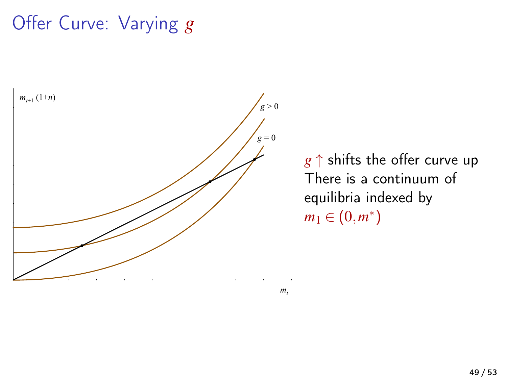### Offer Curve: Varying *g*



*g* ↑ shifts the offer curve up There is a continuum of equilibria indexed by  $m_1 \in (0, m^*)$ 

 $m<sub>t</sub>$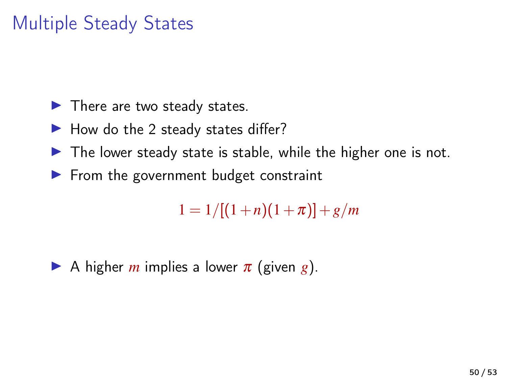### Multiple Steady States

- $\blacktriangleright$  There are two steady states.
- $\blacktriangleright$  How do the 2 steady states differ?
- $\blacktriangleright$  The lower steady state is stable, while the higher one is not.
- $\blacktriangleright$  From the government budget constraint

 $1 = 1/[(1+n)(1+\pi)] + g/m$ 

A higher *m* implies a lower  $\pi$  (given *g*).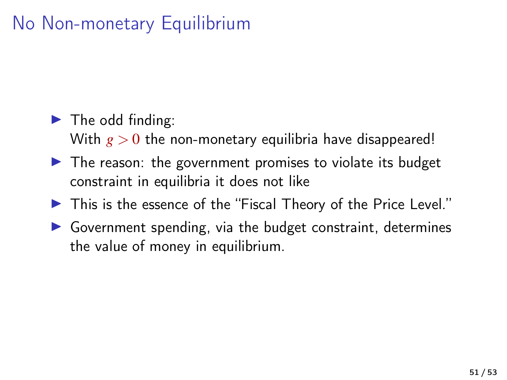### No Non-monetary Equilibrium

#### $\blacktriangleright$  The odd finding:

With  $g > 0$  the non-monetary equilibria have disappeared!

- $\triangleright$  The reason: the government promises to violate its budget constraint in equilibria it does not like
- $\blacktriangleright$  This is the essence of the "Fiscal Theory of the Price Level."
- $\triangleright$  Government spending, via the budget constraint, determines the value of money in equilibrium.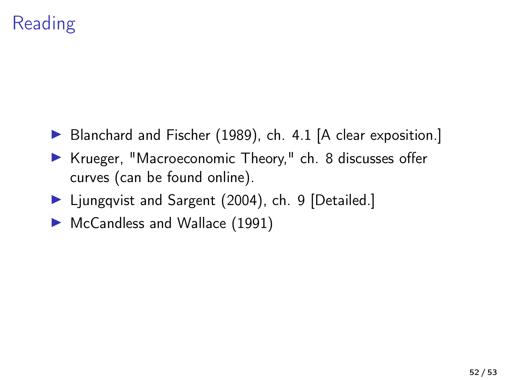## Reading

- ▶ [Blanchard and Fischer \(1989\)](#page-52-0), ch. 4.1 [A clear exposition.]
- ▶ Krueger, "Macroeconomic Theory," ch. 8 discusses offer curves (can be found online).
- ▶ [Ljungqvist and Sargent \(2004\)](#page-52-1), ch. 9 [Detailed.]
- ▶ [McCandless and Wallace \(1991\)](#page-52-2)